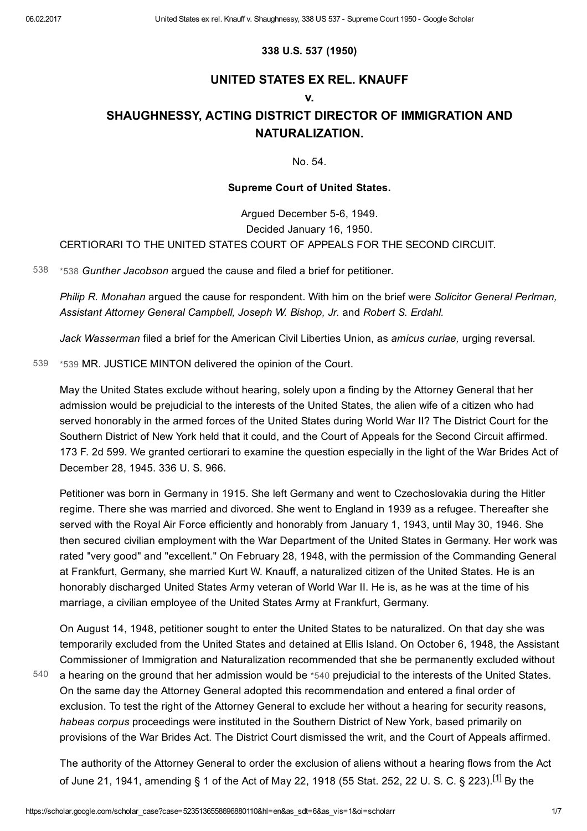### 338 U.S. 537 (1950)

# UNITED STATES EX REL. KNAUFF

#### v.

# SHAUGHNESSY, ACTING DISTRICT DIRECTOR OF IMMIGRATION AND NATURALIZATION.

No. 54.

#### Supreme Court of United States.

Arqued December 5-6, 1949. Decided January 16, 1950. CERTIORARI TO THE UNITED STATES COURT OF APPEALS FOR THE SECOND CIRCUIT.

[538](#page-0-0) [\\*538](#page-0-0) Gunther Jacobson argued the cause and filed a brief for petitioner.

<span id="page-0-0"></span>Philip R. Monahan argued the cause for respondent. With him on the brief were Solicitor General Perlman, Assistant Attorney General Campbell, Joseph W. Bishop, Jr. and Robert S. Erdahl.

Jack Wasserman filed a brief for the American Civil Liberties Union, as amicus curiae, urging reversal.

[539](#page-0-1) [\\*539](#page-0-1) MR. JUSTICE MINTON delivered the opinion of the Court.

<span id="page-0-1"></span>May the United States exclude without hearing, solely upon a finding by the Attorney General that her admission would be prejudicial to the interests of the United States, the alien wife of a citizen who had served honorably in the armed forces of the United States during World War II? The District Court for the Southern District of New York held that it could, and the Court of Appeals for the Second Circuit affirmed. 173 F. 2d 599. We granted certiorari to examine the question especially in the light of the War Brides Act of December 28, 1945. 336 U. S. 966.

Petitioner was born in Germany in 1915. She left Germany and went to Czechoslovakia during the Hitler regime. There she was married and divorced. She went to England in 1939 as a refugee. Thereafter she served with the Royal Air Force efficiently and honorably from January 1, 1943, until May 30, 1946. She then secured civilian employment with the War Department of the United States in Germany. Her work was rated "very good" and "excellent." On February 28, 1948, with the permission of the Commanding General at Frankfurt, Germany, she married Kurt W. Knauff, a naturalized citizen of the United States. He is an honorably discharged United States Army veteran of World War II. He is, as he was at the time of his marriage, a civilian employee of the United States Army at Frankfurt, Germany.

On August 14, 1948, petitioner sought to enter the United States to be naturalized. On that day she was temporarily excluded from the United States and detained at Ellis Island. On October 6, 1948, the Assistant Commissioner of Immigration and Naturalization recommended that she be permanently excluded without a hearing on the ground that her admission would be [\\*540](#page-0-2) prejudicial to the interests of the United States. On the same day the Attorney General adopted this recommendation and entered a final order of exclusion. To test the right of the Attorney General to exclude her without a hearing for security reasons, habeas corpus proceedings were instituted in the Southern District of New York, based primarily on provisions of the War Brides Act. The District Court dismissed the writ, and the Court of Appeals affirmed. [540](#page-0-2)

<span id="page-0-3"></span><span id="page-0-2"></span>The authority of the Attorney General to order the exclusion of aliens without a hearing flows from the Act of June 21, 1941, amending § 1 of the Act of May 22, 1918 (55 Stat. 252, 22 U. S. C. § 223).<sup>[\[1\]](#page-5-0)</sup> By the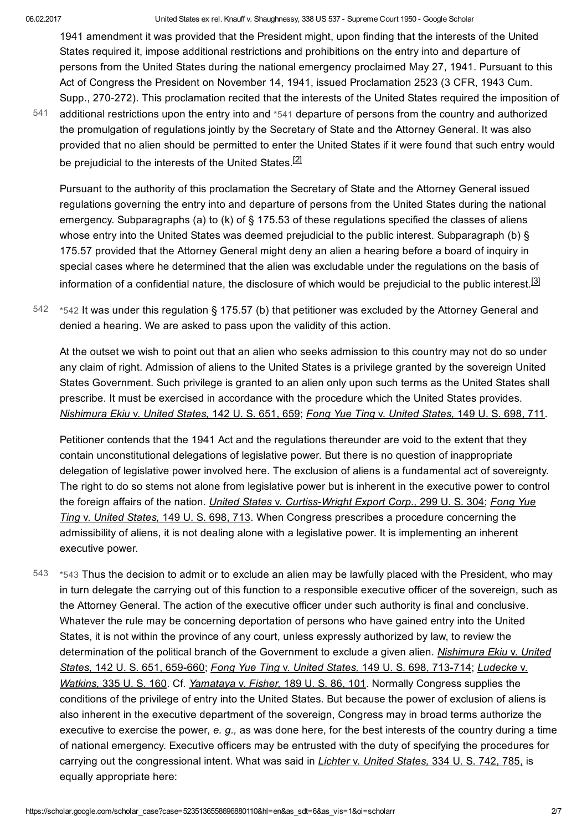#### 06.02.2017 United States ex rel. Knauff v. Shaughnessy, 338 US 537 - Supreme Court 1950 - Google Scholar

1941 amendment it was provided that the President might, upon finding that the interests of the United States required it, impose additional restrictions and prohibitions on the entry into and departure of persons from the United States during the national emergency proclaimed May 27, 1941. Pursuant to this Act of Congress the President on November 14, 1941, issued Proclamation 2523 (3 CFR, 1943 Cum. Supp., 270-272). This proclamation recited that the interests of the United States required the imposition of additional restrictions upon the entry into and [\\*541](#page-1-0) departure of persons from the country and authorized

[541](#page-1-0)

<span id="page-1-0"></span>the promulgation of regulations jointly by the Secretary of State and the Attorney General. It was also provided that no alien should be permitted to enter the United States if it were found that such entry would be prejudicial to the interests of the United States.<sup>[\[2\]](#page-5-1)</sup>

<span id="page-1-3"></span>Pursuant to the authority of this proclamation the Secretary of State and the Attorney General issued regulations governing the entry into and departure of persons from the United States during the national emergency. Subparagraphs (a) to (k) of § 175.53 of these regulations specified the classes of aliens whose entry into the United States was deemed prejudicial to the public interest. Subparagraph (b) § 175.57 provided that the Attorney General might deny an alien a hearing before a board of inquiry in special cases where he determined that the alien was excludable under the regulations on the basis of information of a confidential nature, the disclosure of which would be prejudicial to the public interest.<sup>[\[3\]](#page-5-2)</sup>

<span id="page-1-1"></span>[\\*542](#page-1-1) It was under this regulation § 175.57 (b) that petitioner was excluded by the Attorney General and denied a hearing. We are asked to pass upon the validity of this action. [542](#page-1-1)

<span id="page-1-4"></span>At the outset we wish to point out that an alien who seeks admission to this country may not do so under any claim of right. Admission of aliens to the United States is a privilege granted by the sovereign United States Government. Such privilege is granted to an alien only upon such terms as the United States shall prescribe. It must be exercised in accordance with the procedure which the United States provides. Nishimura Ekiu v. United States, 142 U. S. 651, 659; Fong Yue Ting v. United States, 149 U. S. 698, 711.

Petitioner contends that the 1941 Act and the regulations thereunder are void to the extent that they contain unconstitutional delegations of legislative power. But there is no question of inappropriate delegation of legislative power involved here. The exclusion of aliens is a fundamental act of sovereignty. The right to do so stems not alone from legislative power but is inherent in the executive power to control the foreign affairs of the nation. United States v. Curtiss-Wright Export Corp., 299 U. S. 304; Fong Yue Ting v. United States, 149 U. S. 698, 713. When Congress prescribes a procedure concerning the admissibility of aliens, it is not dealing alone with a legislative power. It is implementing an inherent executive power.

<span id="page-1-2"></span>[\\*543](#page-1-2) Thus the decision to admit or to exclude an alien may be lawfully placed with the President, who may in turn delegate the carrying out of this function to a responsible executive officer of the sovereign, such as the Attorney General. The action of the executive officer under such authority is final and conclusive. Whatever the rule may be concerning deportation of persons who have gained entry into the United States, it is not within the province of any court, unless expressly authorized by law, to review the determination of the political branch of the Government to exclude a given alien. Nishimura Ekiu v. United States, 142 U. S. 651, 659-660; Fong Yue Ting v. United States, 149 U. S. 698, 713-714; Ludecke v. Watkins, 335 U. S. 160. Cf. Yamataya v. Fisher, 189 U. S. 86, 101. Normally Congress supplies the conditions of the privilege of entry into the United States. But because the power of exclusion of aliens is also inherent in the executive department of the sovereign, Congress may in broad terms authorize the executive to exercise the power, e. g., as was done here, for the best interests of the country during a time of national emergency. Executive officers may be entrusted with the duty of specifying the procedures for carrying out the congressional intent. What was said in *Lichter v. United States*, 334 U. S. 742, 785, is equally appropriate here: [543](#page-1-2)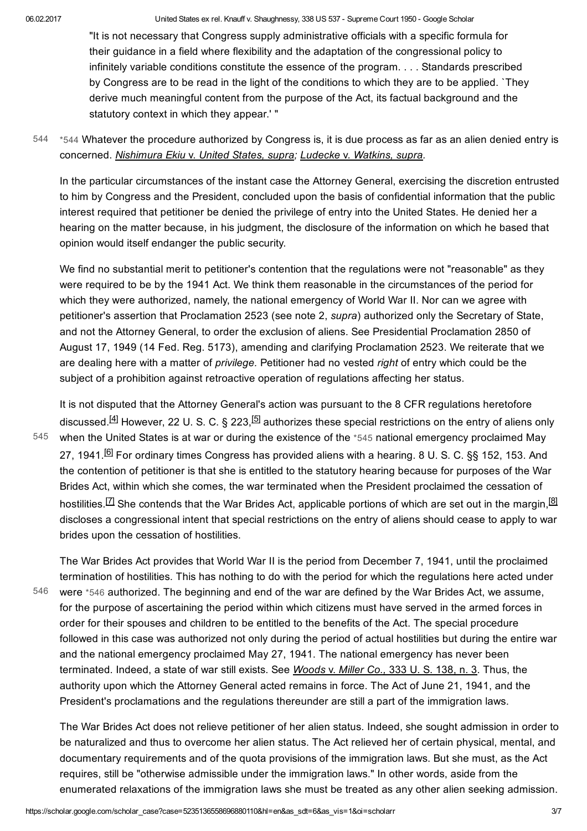06.02.2017 United States ex rel. Knauff v. Shaughnessy, 338 US 537 - Supreme Court 1950 - Google Scholar

"It is not necessary that Congress supply administrative officials with a specific formula for their guidance in a field where flexibility and the adaptation of the congressional policy to infinitely variable conditions constitute the essence of the program. . . . Standards prescribed by Congress are to be read in the light of the conditions to which they are to be applied. `They derive much meaningful content from the purpose of the Act, its factual background and the statutory context in which they appear.' "

<span id="page-2-0"></span> $544$   $*544$  Whatever the procedure authorized by Congress is, it is due process as far as an alien denied entry is concerned. Nishimura Ekiu v. United States, supra; Ludecke v. Watkins, supra.

In the particular circumstances of the instant case the Attorney General, exercising the discretion entrusted to him by Congress and the President, concluded upon the basis of confidential information that the public interest required that petitioner be denied the privilege of entry into the United States. He denied her a hearing on the matter because, in his judgment, the disclosure of the information on which he based that opinion would itself endanger the public security.

We find no substantial merit to petitioner's contention that the regulations were not "reasonable" as they were required to be by the 1941 Act. We think them reasonable in the circumstances of the period for which they were authorized, namely, the national emergency of World War II. Nor can we agree with petitioner's assertion that Proclamation 2523 (see note 2, supra) authorized only the Secretary of State, and not the Attorney General, to order the exclusion of aliens. See Presidential Proclamation 2850 of August 17, 1949 (14 Fed. Reg. 5173), amending and clarifying Proclamation 2523. We reiterate that we are dealing here with a matter of *privilege*. Petitioner had no vested *right* of entry which could be the subject of a prohibition against retroactive operation of regulations affecting her status.

[545](#page-2-1)

<span id="page-2-5"></span><span id="page-2-4"></span><span id="page-2-3"></span><span id="page-2-1"></span>It is not disputed that the Attorney General's action was pursuant to the 8 CFR regulations heretofore discussed.<sup>[\[4\]](#page-5-3)</sup> However, 22 U. S. C. § 223,<sup>[\[5\]](#page-5-4)</sup> authorizes these special restrictions on the entry of aliens only when the United States is at war or during the existence of the [\\*545](#page-2-1) national emergency proclaimed May 27, 1941.<sup>[\[6\]](#page-5-5)</sup> For ordinary times Congress has provided aliens with a hearing. 8 U. S. C. §§ 152, 153. And the contention of petitioner is that she is entitled to the statutory hearing because for purposes of the War Brides Act, within which she comes, the war terminated when the President proclaimed the cessation of hostilities.<sup>[Z]</sup> She contends that the War Brides Act, applicable portions of which are set out in the margin,<sup>[<u>8</u>]</sup> discloses a congressional intent that special restrictions on the entry of aliens should cease to apply to war brides upon the cessation of hostilities.

[546](#page-2-2)

<span id="page-2-7"></span><span id="page-2-6"></span><span id="page-2-2"></span>The War Brides Act provides that World War II is the period from December 7, 1941, until the proclaimed termination of hostilities. This has nothing to do with the period for which the regulations here acted under were [\\*546](#page-2-2) authorized. The beginning and end of the war are defined by the War Brides Act, we assume, for the purpose of ascertaining the period within which citizens must have served in the armed forces in order for their spouses and children to be entitled to the benefits of the Act. The special procedure followed in this case was authorized not only during the period of actual hostilities but during the entire war and the national emergency proclaimed May 27, 1941. The national emergency has never been terminated. Indeed, a state of war still exists. See Woods v. Miller Co., 333 U. S. 138, n. 3. Thus, the authority upon which the Attorney General acted remains in force. The Act of June 21, 1941, and the President's proclamations and the regulations thereunder are still a part of the immigration laws.

The War Brides Act does not relieve petitioner of her alien status. Indeed, she sought admission in order to be naturalized and thus to overcome her alien status. The Act relieved her of certain physical, mental, and documentary requirements and of the quota provisions of the immigration laws. But she must, as the Act requires, still be "otherwise admissible under the immigration laws." In other words, aside from the enumerated relaxations of the immigration laws she must be treated as any other alien seeking admission.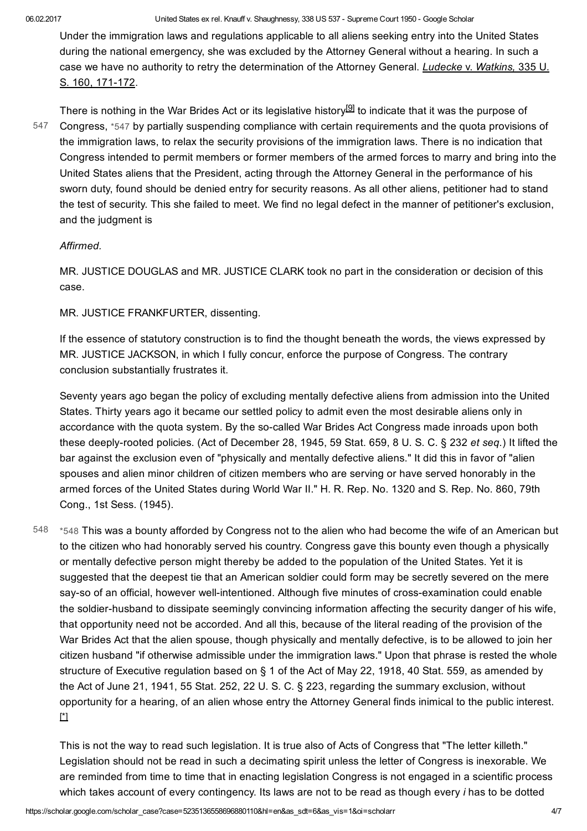06.02.2017 United States ex rel. Knauff v. Shaughnessy, 338 US 537 - Supreme Court 1950 - Google Scholar

<span id="page-3-2"></span>Under the immigration laws and regulations applicable to all aliens seeking entry into the United States during the national emergency, she was excluded by the Attorney General without a hearing. In such a case we have no authority to retry the determination of the Attorney General. *Ludecke v. Watkins*, 335 U. S. 160, 171-172.

<span id="page-3-0"></span>There is nothing in the War Brides Act or its legislative history<sup>[\[9\]](#page-6-0)</sup> to indicate that it was the purpose of Congress, [\\*547](#page-3-0) by partially suspending compliance with certain requirements and the quota provisions of the immigration laws, to relax the security provisions of the immigration laws. There is no indication that Congress intended to permit members or former members of the armed forces to marry and bring into the United States aliens that the President, acting through the Attorney General in the performance of his sworn duty, found should be denied entry for security reasons. As all other aliens, petitioner had to stand the test of security. This she failed to meet. We find no legal defect in the manner of petitioner's exclusion, and the judgment is [547](#page-3-0)

## Affirmed.

MR. JUSTICE DOUGLAS and MR. JUSTICE CLARK took no part in the consideration or decision of this case.

MR. JUSTICE FRANKFURTER, dissenting.

If the essence of statutory construction is to find the thought beneath the words, the views expressed by MR. JUSTICE JACKSON, in which I fully concur, enforce the purpose of Congress. The contrary conclusion substantially frustrates it.

Seventy years ago began the policy of excluding mentally defective aliens from admission into the United States. Thirty years ago it became our settled policy to admit even the most desirable aliens only in accordance with the quota system. By the so-called War Brides Act Congress made inroads upon both these deeplyrooted policies. (Act of December 28, 1945, 59 Stat. 659, 8 U. S. C. § 232 et seq.) It lifted the bar against the exclusion even of "physically and mentally defective aliens." It did this in favor of "alien spouses and alien minor children of citizen members who are serving or have served honorably in the armed forces of the United States during World War II." H. R. Rep. No. 1320 and S. Rep. No. 860, 79th Cong., 1st Sess. (1945).

<span id="page-3-1"></span>[\\*548](#page-3-1) This was a bounty afforded by Congress not to the alien who had become the wife of an American but to the citizen who had honorably served his country. Congress gave this bounty even though a physically or mentally defective person might thereby be added to the population of the United States. Yet it is suggested that the deepest tie that an American soldier could form may be secretly severed on the mere say-so of an official, however well-intentioned. Although five minutes of cross-examination could enable the soldier-husband to dissipate seemingly convincing information affecting the security danger of his wife, that opportunity need not be accorded. And all this, because of the literal reading of the provision of the War Brides Act that the alien spouse, though physically and mentally defective, is to be allowed to join her citizen husband "if otherwise admissible under the immigration laws." Upon that phrase is rested the whole structure of Executive regulation based on § 1 of the Act of May 22, 1918, 40 Stat. 559, as amended by the Act of June 21, 1941, 55 Stat. 252, 22 U. S. C. § 223, regarding the summary exclusion, without opportunity for a hearing, of an alien whose entry the Attorney General finds inimical to the public interest. [\[\\*\]](#page-6-1) [548](#page-3-1)

<span id="page-3-3"></span>This is not the way to read such legislation. It is true also of Acts of Congress that "The letter killeth." Legislation should not be read in such a decimating spirit unless the letter of Congress is inexorable. We are reminded from time to time that in enacting legislation Congress is not engaged in a scientific process which takes account of every contingency. Its laws are not to be read as though every *i* has to be dotted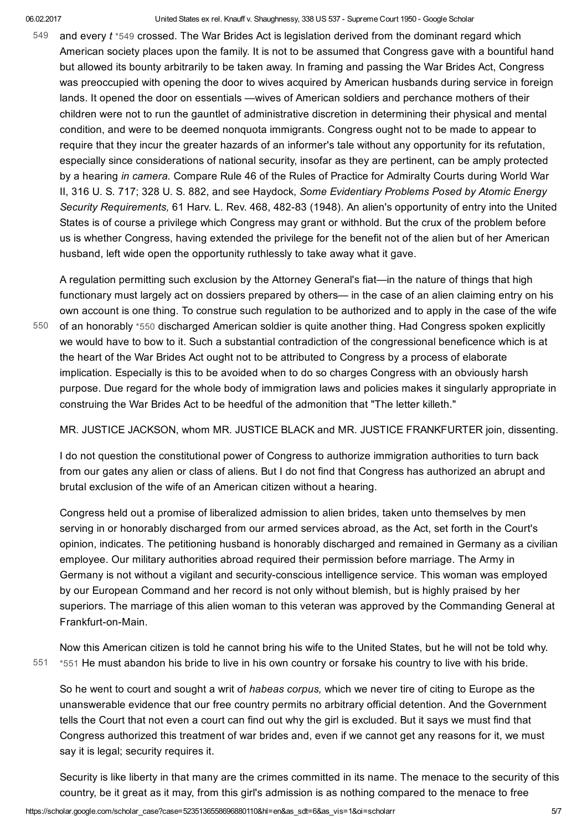- <span id="page-4-0"></span>and every  $t$  [\\*549](#page-4-0) crossed. The War Brides Act is legislation derived from the dominant regard which American society places upon the family. It is not to be assumed that Congress gave with a bountiful hand but allowed its bounty arbitrarily to be taken away. In framing and passing the War Brides Act, Congress was preoccupied with opening the door to wives acquired by American husbands during service in foreign lands. It opened the door on essentials —wives of American soldiers and perchance mothers of their children were not to run the gauntlet of administrative discretion in determining their physical and mental condition, and were to be deemed nonquota immigrants. Congress ought not to be made to appear to require that they incur the greater hazards of an informer's tale without any opportunity for its refutation, especially since considerations of national security, insofar as they are pertinent, can be amply protected by a hearing in camera. Compare Rule 46 of the Rules of Practice for Admiralty Courts during World War II, 316 U. S. 717; 328 U. S. 882, and see Haydock, Some Evidentiary Problems Posed by Atomic Energy Security Requirements, 61 Harv. L. Rev. 468, 482-83 (1948). An alien's opportunity of entry into the United States is of course a privilege which Congress may grant or withhold. But the crux of the problem before us is whether Congress, having extended the privilege for the benefit not of the alien but of her American husband, left wide open the opportunity ruthlessly to take away what it gave. [549](#page-4-0)
- <span id="page-4-1"></span>A regulation permitting such exclusion by the Attorney General's fiat—in the nature of things that high functionary must largely act on dossiers prepared by others— in the case of an alien claiming entry on his own account is one thing. To construe such regulation to be authorized and to apply in the case of the wife of an honorably [\\*550](#page-4-1) discharged American soldier is quite another thing. Had Congress spoken explicitly we would have to bow to it. Such a substantial contradiction of the congressional beneficence which is at the heart of the War Brides Act ought not to be attributed to Congress by a process of elaborate implication. Especially is this to be avoided when to do so charges Congress with an obviously harsh purpose. Due regard for the whole body of immigration laws and policies makes it singularly appropriate in construing the War Brides Act to be heedful of the admonition that "The letter killeth." [550](#page-4-1)

#### MR. JUSTICE JACKSON, whom MR. JUSTICE BLACK and MR. JUSTICE FRANKFURTER join, dissenting.

I do not question the constitutional power of Congress to authorize immigration authorities to turn back from our gates any alien or class of aliens. But I do not find that Congress has authorized an abrupt and brutal exclusion of the wife of an American citizen without a hearing.

Congress held out a promise of liberalized admission to alien brides, taken unto themselves by men serving in or honorably discharged from our armed services abroad, as the Act, set forth in the Court's opinion, indicates. The petitioning husband is honorably discharged and remained in Germany as a civilian employee. Our military authorities abroad required their permission before marriage. The Army in Germany is not without a vigilant and security-conscious intelligence service. This woman was employed by our European Command and her record is not only without blemish, but is highly praised by her superiors. The marriage of this alien woman to this veteran was approved by the Commanding General at Frankfurt-on-Main.

Now this American citizen is told he cannot bring his wife to the United States, but he will not be told why. [551](#page-4-2) [\\*551](#page-4-2) He must abandon his bride to live in his own country or forsake his country to live with his bride.

<span id="page-4-2"></span>So he went to court and sought a writ of habeas corpus, which we never tire of citing to Europe as the unanswerable evidence that our free country permits no arbitrary official detention. And the Government tells the Court that not even a court can find out why the girl is excluded. But it says we must find that Congress authorized this treatment of war brides and, even if we cannot get any reasons for it, we must say it is legal; security requires it.

Security is like liberty in that many are the crimes committed in its name. The menace to the security of this country, be it great as it may, from this girl's admission is as nothing compared to the menace to free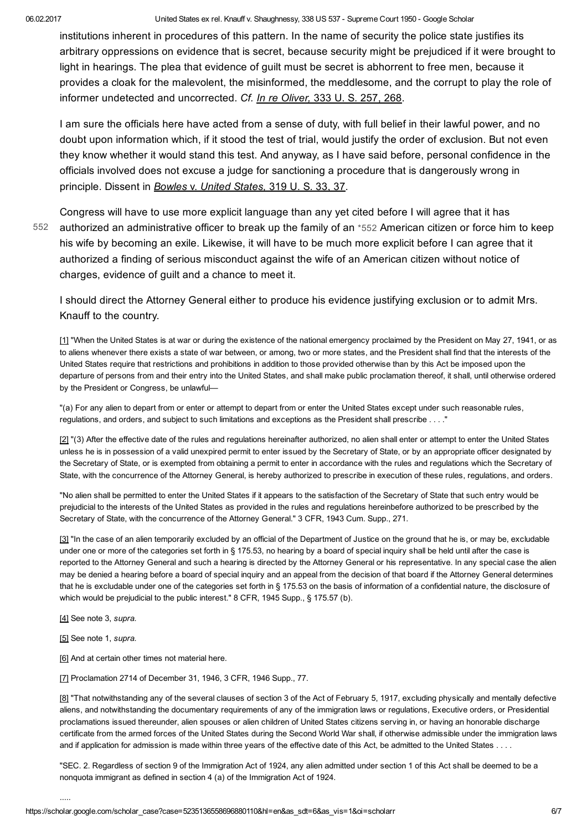06.02.2017 United States ex rel. Knauff v. Shaughnessy, 338 US 537 Supreme Court 1950 Google Scholar

institutions inherent in procedures of this pattern. In the name of security the police state justifies its arbitrary oppressions on evidence that is secret, because security might be prejudiced if it were brought to light in hearings. The plea that evidence of guilt must be secret is abhorrent to free men, because it provides a cloak for the malevolent, the misinformed, the meddlesome, and the corrupt to play the role of informer undetected and uncorrected. Cf. In re Oliver, 333 U. S. 257, 268.

I am sure the officials here have acted from a sense of duty, with full belief in their lawful power, and no doubt upon information which, if it stood the test of trial, would justify the order of exclusion. But not even they know whether it would stand this test. And anyway, as I have said before, personal confidence in the officials involved does not excuse a judge for sanctioning a procedure that is dangerously wrong in principle. Dissent in **Bowles v. United States**, 319 U. S. 33, 37.

Congress will have to use more explicit language than any yet cited before I will agree that it has authorized an administrative officer to break up the family of an [\\*552](#page-5-8) American citizen or force him to keep his wife by becoming an exile. Likewise, it will have to be much more explicit before I can agree that it authorized a finding of serious misconduct against the wife of an American citizen without notice of charges, evidence of guilt and a chance to meet it. [552](#page-5-8)

<span id="page-5-8"></span>I should direct the Attorney General either to produce his evidence justifying exclusion or to admit Mrs. Knauff to the country.

<span id="page-5-0"></span>[\[1\]](#page-0-3) "When the United States is at war or during the existence of the national emergency proclaimed by the President on May 27, 1941, or as to aliens whenever there exists a state of war between, or among, two or more states, and the President shall find that the interests of the United States require that restrictions and prohibitions in addition to those provided otherwise than by this Act be imposed upon the departure of persons from and their entry into the United States, and shall make public proclamation thereof, it shall, until otherwise ordered by the President or Congress, be unlawful—

"(a) For any alien to depart from or enter or attempt to depart from or enter the United States except under such reasonable rules, regulations, and orders, and subject to such limitations and exceptions as the President shall prescribe . . . ."

<span id="page-5-1"></span>[\[2\]](#page-1-3) "(3) After the effective date of the rules and regulations hereinafter authorized, no alien shall enter or attempt to enter the United States unless he is in possession of a valid unexpired permit to enter issued by the Secretary of State, or by an appropriate officer designated by the Secretary of State, or is exempted from obtaining a permit to enter in accordance with the rules and regulations which the Secretary of State, with the concurrence of the Attorney General, is hereby authorized to prescribe in execution of these rules, regulations, and orders.

"No alien shall be permitted to enter the United States if it appears to the satisfaction of the Secretary of State that such entry would be prejudicial to the interests of the United States as provided in the rules and regulations hereinbefore authorized to be prescribed by the Secretary of State, with the concurrence of the Attorney General." 3 CFR, 1943 Cum. Supp., 271.

<span id="page-5-2"></span>[\[3\]](#page-1-4) "In the case of an alien temporarily excluded by an official of the Department of Justice on the ground that he is, or may be, excludable under one or more of the categories set forth in § 175.53, no hearing by a board of special inquiry shall be held until after the case is reported to the Attorney General and such a hearing is directed by the Attorney General or his representative. In any special case the alien may be denied a hearing before a board of special inquiry and an appeal from the decision of that board if the Attorney General determines that he is excludable under one of the categories set forth in § 175.53 on the basis of information of a confidential nature, the disclosure of which would be prejudicial to the public interest." 8 CFR, 1945 Supp., § 175.57 (b).

<span id="page-5-3"></span>[\[4\]](#page-2-3) See note 3, supra.

<span id="page-5-4"></span>[\[5\]](#page-2-4) See note 1, supra.

<span id="page-5-5"></span>[\[6\]](#page-2-5) And at certain other times not material here.

<span id="page-5-6"></span>[\[7\]](#page-2-6) Proclamation 2714 of December 31, 1946, 3 CFR, 1946 Supp., 77.

<span id="page-5-7"></span>[\[8\]](#page-2-7) "That notwithstanding any of the several clauses of section 3 of the Act of February 5, 1917, excluding physically and mentally defective aliens, and notwithstanding the documentary requirements of any of the immigration laws or regulations, Executive orders, or Presidential proclamations issued thereunder, alien spouses or alien children of United States citizens serving in, or having an honorable discharge certificate from the armed forces of the United States during the Second World War shall, if otherwise admissible under the immigration laws and if application for admission is made within three years of the effective date of this Act, be admitted to the United States . . . .

"SEC. 2. Regardless of section 9 of the Immigration Act of 1924, any alien admitted under section 1 of this Act shall be deemed to be a nonquota immigrant as defined in section 4 (a) of the Immigration Act of 1924.

.....